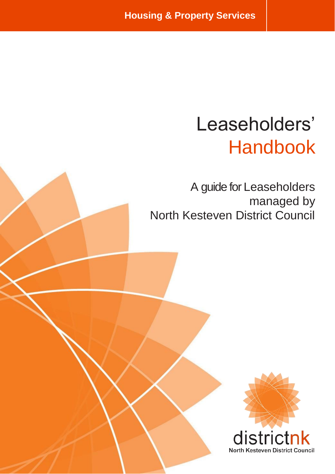# Leaseholders' Handbook

A guide for Leaseholders managed by North Kesteven District Council

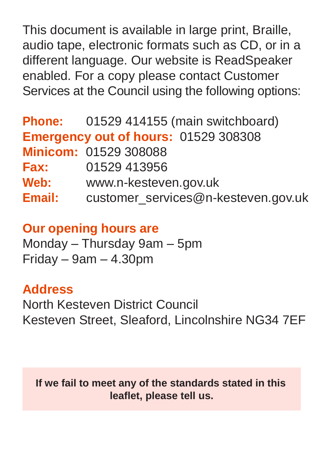This document is available in large print, Braille, audio tape, electronic formats such as CD, or in a different language. Our website is ReadSpeaker enabled. For a copy please contact Customer Services at the Council using the following options:

|             | Phone: 01529 414155 (main switchboard)      |
|-------------|---------------------------------------------|
|             | <b>Emergency out of hours: 01529 308308</b> |
|             | Minicom: 01529 308088                       |
| <b>Fax:</b> | 01529 413956                                |
| Web:        | www.n-kesteven.gov.uk                       |
| Email:      | customer_services@n-kesteven.gov.uk         |

**Our opening hours are**

Monday – Thursday 9am – 5pm  $Friday - 9am - 4.30pm$ 

## **Address**

North Kesteven District Council Kesteven Street, Sleaford, Lincolnshire NG34 7EF

**If we fail to meet any of the standards stated in this leaflet, please tell us.**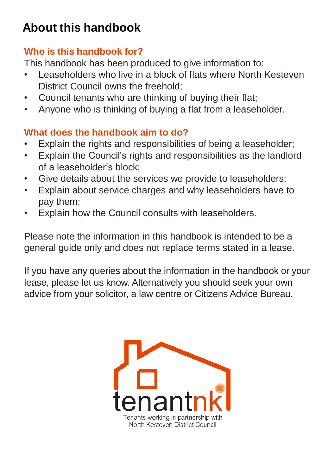## **About this handbook**

## **Who is this handbook for?**

This handbook has been produced to give information to:

- Leaseholders who live in a block of flats where North Kesteven District Council owns the freehold:
- Council tenants who are thinking of buying their flat;
- Anyone who is thinking of buying a flat from a leaseholder.

## **What does the handbook aim to do?**

- Explain the rights and responsibilities of being a leaseholder;
- Explain the Council's rights and responsibilities as the landlord of a leaseholder's block;
- Give details about the services we provide to leaseholders;
- Explain about service charges and why leaseholders have to pay them;
- Explain how the Council consults with leaseholders.

Please note the information in this handbook is intended to be a general guide only and does not replace terms stated in a lease.

If you have any queries about the information in the handbook or your lease, please let us know. Alternatively you should seek your own advice from your solicitor, a law centre or Citizens Advice Bureau.

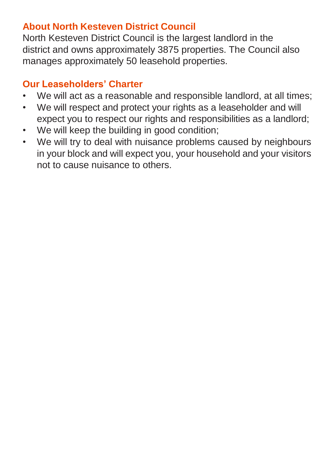## **About North Kesteven District Council**

North Kesteven District Council is the largest landlord in the district and owns approximately 3875 properties. The Council also manages approximately 50 leasehold properties.

## **Our Leaseholders' Charter**

- We will act as a reasonable and responsible landlord, at all times;
- We will respect and protect your rights as a leaseholder and will expect you to respect our rights and responsibilities as a landlord;
- We will keep the building in good condition;
- We will try to deal with nuisance problems caused by neighbours in your block and will expect you, your household and your visitors not to cause nuisance to others.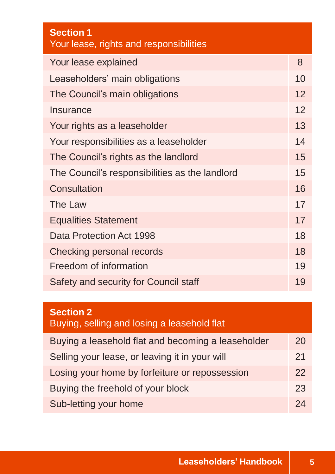| <b>Section 1</b><br>Your lease, rights and responsibilities |    |
|-------------------------------------------------------------|----|
| Your lease explained                                        | 8  |
| Leaseholders' main obligations                              | 10 |
| The Council's main obligations                              | 12 |
| Insurance                                                   | 12 |
| Your rights as a leaseholder                                | 13 |
| Your responsibilities as a leaseholder                      | 14 |
| The Council's rights as the landlord                        | 15 |
| The Council's responsibilities as the landlord              | 15 |
| Consultation                                                | 16 |
| The Law                                                     | 17 |
| <b>Equalities Statement</b>                                 | 17 |
| Data Protection Act 1998                                    | 18 |
| Checking personal records                                   | 18 |
| Freedom of information                                      | 19 |
| Safety and security for Council staff                       | 19 |

## **Section 2**

## Buying, selling and losing a leasehold flat

| Buying a leasehold flat and becoming a leaseholder | 20 |
|----------------------------------------------------|----|
| Selling your lease, or leaving it in your will     | 21 |
| Losing your home by forfeiture or repossession     | 22 |
| Buying the freehold of your block                  | 23 |
| Sub-letting your home                              | 24 |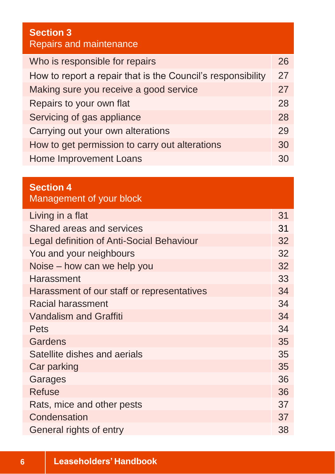## **Section 3** Repairs and maintenance Who is responsible for repairs 26 How to report a repair that is the Council's responsibility 27 Making sure you receive a good service 27 Repairs to your own flat **28** Servicing of gas appliance 28 Carrying out your own alterations 29 How to get permission to carry out alterations 30 Home Improvement Loans 30

#### **Section 4**

Management of your block

| Living in a flat                           | 31 |
|--------------------------------------------|----|
| Shared areas and services                  | 31 |
| Legal definition of Anti-Social Behaviour  | 32 |
| You and your neighbours                    | 32 |
| Noise – how can we help you                | 32 |
| Harassment                                 | 33 |
| Harassment of our staff or representatives | 34 |
| Racial harassment                          | 34 |
| <b>Vandalism and Graffiti</b>              | 34 |
| Pets                                       | 34 |
| Gardens                                    | 35 |
| Satellite dishes and aerials               | 35 |
| Car parking                                | 35 |
| Garages                                    | 36 |
| <b>Refuse</b>                              | 36 |
| Rats, mice and other pests                 | 37 |
| Condensation                               | 37 |
| General rights of entry                    | 38 |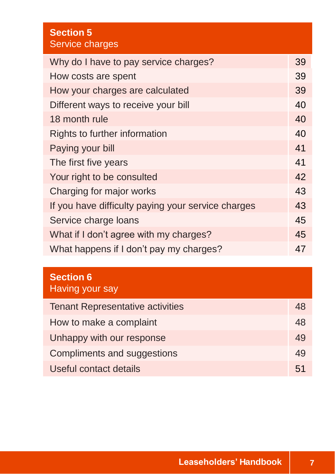| <b>Section 5</b><br>Service charges                |    |
|----------------------------------------------------|----|
| Why do I have to pay service charges?              | 39 |
| How costs are spent                                | 39 |
| How your charges are calculated                    | 39 |
| Different ways to receive your bill                | 40 |
| 18 month rule                                      | 40 |
| Rights to further information                      | 40 |
| Paying your bill                                   | 41 |
| The first five years                               | 41 |
| Your right to be consulted                         | 42 |
| Charging for major works                           | 43 |
| If you have difficulty paying your service charges | 43 |
| Service charge loans                               | 45 |
| What if I don't agree with my charges?             | 45 |
| What happens if I don't pay my charges?            | 47 |

## **Section 6** Having your say

| <b>Tenant Representative activities</b> | 48 |
|-----------------------------------------|----|
| How to make a complaint                 | 48 |
| Unhappy with our response               | 49 |
| Compliments and suggestions             | 49 |
| Useful contact details                  |    |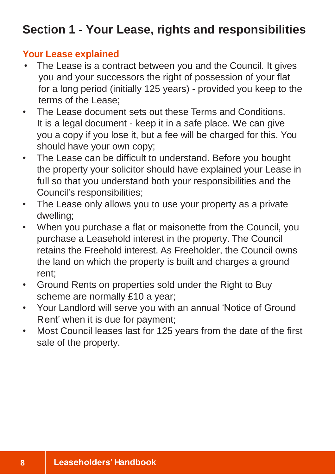## **Section 1 - Your Lease, rights and responsibilities**

## **Your Lease explained**

- The Lease is a contract between you and the Council. It gives you and your successors the right of possession of your flat for a long period (initially 125 years) - provided you keep to the terms of the Lease;
- The Lease document sets out these Terms and Conditions. It is a legal document - keep it in a safe place. We can give you a copy if you lose it, but a fee will be charged for this. You should have your own copy;
- The Lease can be difficult to understand. Before you bought the property your solicitor should have explained your Lease in full so that you understand both your responsibilities and the Council's responsibilities;
- The Lease only allows you to use your property as a private dwelling;
- When you purchase a flat or maisonette from the Council, you purchase a Leasehold interest in the property. The Council retains the Freehold interest. As Freeholder, the Council owns the land on which the property is built and charges a ground rent;
- Ground Rents on properties sold under the Right to Buy scheme are normally £10 a year;
- Your Landlord will serve you with an annual 'Notice of Ground Rent' when it is due for payment;
- Most Council leases last for 125 years from the date of the first sale of the property.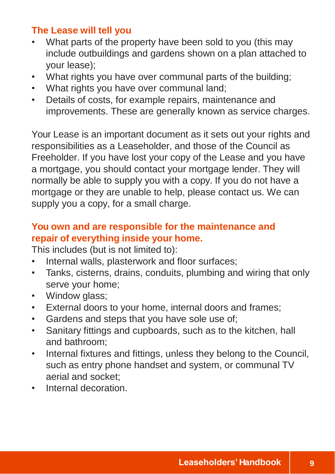## **The Lease will tell you**

- What parts of the property have been sold to you (this may include outbuildings and gardens shown on a plan attached to your lease);
- What rights you have over communal parts of the building;
- What rights you have over communal land:
- Details of costs, for example repairs, maintenance and improvements. These are generally known as service charges.

Your Lease is an important document as it sets out your rights and responsibilities as a Leaseholder, and those of the Council as Freeholder. If you have lost your copy of the Lease and you have a mortgage, you should contact your mortgage lender. They will normally be able to supply you with a copy. If you do not have a mortgage or they are unable to help, please contact us. We can supply you a copy, for a small charge.

## **You own and are responsible for the maintenance and repair of everything inside your home.**

This includes (but is not limited to):

- Internal walls, plasterwork and floor surfaces;
- Tanks, cisterns, drains, conduits, plumbing and wiring that only serve your home;
- Window glass:
- External doors to your home, internal doors and frames;
- Gardens and steps that you have sole use of;
- Sanitary fittings and cupboards, such as to the kitchen, hall and bathroom;
- Internal fixtures and fittings, unless they belong to the Council, such as entry phone handset and system, or communal TV aerial and socket;
- Internal decoration.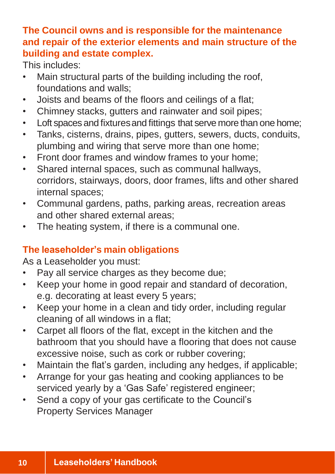## **The Council owns and is responsible for the maintenance and repair of the exterior elements and main structure of the building and estate complex.**

This includes:

- Main structural parts of the building including the roof, foundations and walls;
- Joists and beams of the floors and ceilings of a flat;
- Chimney stacks, gutters and rainwater and soil pipes;
- Loft spaces and fixturesand fittings that serve more than one home;
- Tanks, cisterns, drains, pipes, gutters, sewers, ducts, conduits, plumbing and wiring that serve more than one home;
- Front door frames and window frames to your home;
- Shared internal spaces, such as communal hallways, corridors, stairways, doors, door frames, lifts and other shared internal spaces;
- Communal gardens, paths, parking areas, recreation areas and other shared external areas;
- The heating system, if there is a communal one.

## **The leaseholder's main obligations**

As a Leaseholder you must:

- Pay all service charges as they become due;
- Keep your home in good repair and standard of decoration, e.g. decorating at least every 5 years;
- Keep your home in a clean and tidy order, including regular cleaning of all windows in a flat;
- Carpet all floors of the flat, except in the kitchen and the bathroom that you should have a flooring that does not cause excessive noise, such as cork or rubber covering;
- Maintain the flat's garden, including any hedges, if applicable;
- Arrange for your gas heating and cooking appliances to be serviced yearly by a 'Gas Safe' registered engineer;
- Send a copy of your gas certificate to the Council's Property Services Manager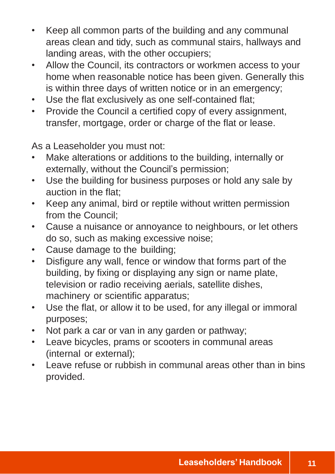- Keep all common parts of the building and any communal areas clean and tidy, such as communal stairs, hallways and landing areas, with the other occupiers;
- Allow the Council, its contractors or workmen access to your home when reasonable notice has been given. Generally this is within three days of written notice or in an emergency;
- Use the flat exclusively as one self-contained flat;
- Provide the Council a certified copy of every assignment, transfer, mortgage, order or charge of the flat or lease.

As a Leaseholder you must not:

- Make alterations or additions to the building, internally or externally, without the Council's permission;
- Use the building for business purposes or hold any sale by auction in the flat;
- Keep any animal, bird or reptile without written permission from the Council;
- Cause a nuisance or annoyance to neighbours, or let others do so, such as making excessive noise;
- Cause damage to the building;
- Disfigure any wall, fence or window that forms part of the building, by fixing or displaying any sign or name plate, television or radio receiving aerials, satellite dishes, machinery or scientific apparatus;
- Use the flat, or allow it to be used, for any illegal or immoral purposes;
- Not park a car or van in any garden or pathway;
- Leave bicycles, prams or scooters in communal areas (internal or external);
- Leave refuse or rubbish in communal areas other than in bins provided.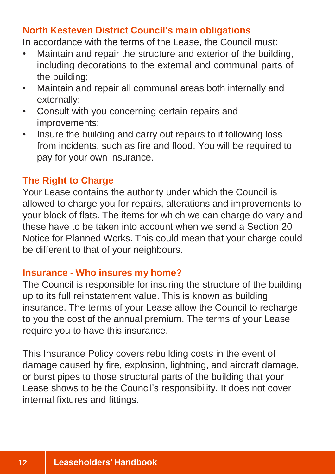## **North Kesteven District Council's main obligations**

In accordance with the terms of the Lease, the Council must:

- Maintain and repair the structure and exterior of the building, including decorations to the external and communal parts of the building;
- Maintain and repair all communal areas both internally and externally;
- Consult with you concerning certain repairs and improvements;
- Insure the building and carry out repairs to it following loss from incidents, such as fire and flood. You will be required to pay for your own insurance.

## **The Right to Charge**

Your Lease contains the authority under which the Council is allowed to charge you for repairs, alterations and improvements to your block of flats. The items for which we can charge do vary and these have to be taken into account when we send a Section 20 Notice for Planned Works. This could mean that your charge could be different to that of your neighbours.

#### **Insurance - Who insures my home?**

The Council is responsible for insuring the structure of the building up to its full reinstatement value. This is known as building insurance. The terms of your Lease allow the Council to recharge to you the cost of the annual premium. The terms of your Lease require you to have this insurance.

This Insurance Policy covers rebuilding costs in the event of damage caused by fire, explosion, lightning, and aircraft damage, or burst pipes to those structural parts of the building that your Lease shows to be the Council's responsibility. It does not cover internal fixtures and fittings.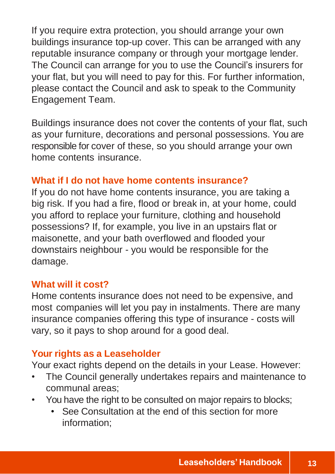If you require extra protection, you should arrange your own buildings insurance top-up cover. This can be arranged with any reputable insurance company or through your mortgage lender. The Council can arrange for you to use the Council's insurers for your flat, but you will need to pay for this. For further information, please contact the Council and ask to speak to the Community Engagement Team.

Buildings insurance does not cover the contents of your flat, such as your furniture, decorations and personal possessions. You are responsible for cover of these, so you should arrange your own home contents insurance.

## **What if I do not have home contents insurance?**

If you do not have home contents insurance, you are taking a big risk. If you had a fire, flood or break in, at your home, could you afford to replace your furniture, clothing and household possessions? If, for example, you live in an upstairs flat or maisonette, and your bath overflowed and flooded your downstairs neighbour - you would be responsible for the damage.

## **What will it cost?**

Home contents insurance does not need to be expensive, and most companies will let you pay in instalments. There are many insurance companies offering this type of insurance - costs will vary, so it pays to shop around for a good deal.

## **Your rights as a Leaseholder**

Your exact rights depend on the details in your Lease. However:

- The Council generally undertakes repairs and maintenance to communal areas;
- You have the right to be consulted on major repairs to blocks;
	- See Consultation at the end of this section for more information;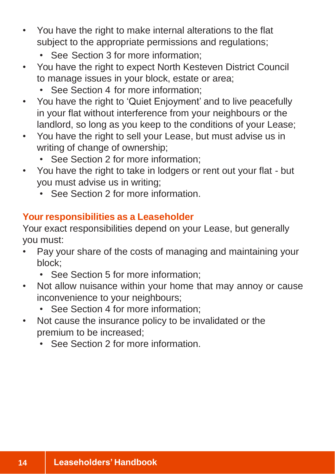- You have the right to make internal alterations to the flat subject to the appropriate permissions and regulations;
	- See Section 3 for more information:
- You have the right to expect North Kesteven District Council to manage issues in your block, estate or area;
	- See Section 4 for more information:
- You have the right to 'Quiet Enjoyment' and to live peacefully in your flat without interference from your neighbours or the landlord, so long as you keep to the conditions of your Lease;
- You have the right to sell your Lease, but must advise us in writing of change of ownership;
	- See Section 2 for more information;
- You have the right to take in lodgers or rent out your flat but you must advise us in writing;
	- See Section 2 for more information.

## **Your responsibilities as a Leaseholder**

Your exact responsibilities depend on your Lease, but generally you must:

- Pay your share of the costs of managing and maintaining your block;
	- See Section 5 for more information;
- Not allow nuisance within your home that may annoy or cause inconvenience to your neighbours;
	- See Section 4 for more information;
- Not cause the insurance policy to be invalidated or the premium to be increased;
	- See Section 2 for more information.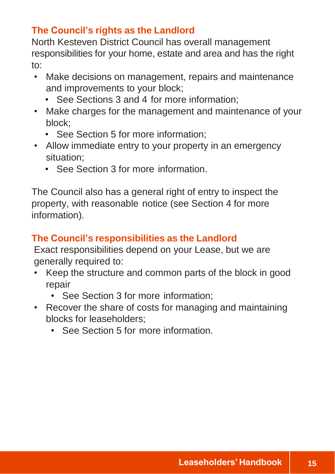## **The Council's rights as the Landlord**

North Kesteven District Council has overall management responsibilities for your home, estate and area and has the right to:

- Make decisions on management, repairs and maintenance and improvements to your block;
	- See Sections 3 and 4 for more information;
- Make charges for the management and maintenance of your block;
	- See Section 5 for more information;
- Allow immediate entry to your property in an emergency situation;
	- See Section 3 for more information.

The Council also has a general right of entry to inspect the property, with reasonable notice (see Section 4 for more information).

## **The Council's responsibilities as the Landlord**

Exact responsibilities depend on your Lease, but we are generally required to:

- Keep the structure and common parts of the block in good repair
	- See Section 3 for more information;
- Recover the share of costs for managing and maintaining blocks for leaseholders;
	- See Section 5 for more information.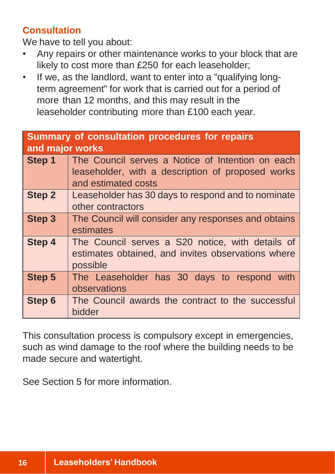## **Consultation**

We have to tell you about:

- Any repairs or other maintenance works to your block that are likely to cost more than £250 for each leaseholder;
- If we, as the landlord, want to enter into a "qualifying longterm agreement" for work that is carried out for a period of more than 12 months, and this may result in the leaseholder contributing more than £100 each year.

## **Summary of consultation procedures for repairs and major works Step 1** The Council serves a Notice of Intention on each leaseholder, with a description of proposed works and estimated costs **Step 2** Leaseholder has 30 days to respond and to nominate other contractors **Step 3** The Council will consider any responses and obtains estimates **Step 4** The Council serves a S20 notice, with details of estimates obtained, and invites observations where possible **Step 5** The Leaseholder has 30 days to respond with observations **Step 6** The Council awards the contract to the successful bidder

This consultation process is compulsory except in emergencies, such as wind damage to the roof where the building needs to be made secure and watertight.

See Section 5 for more information.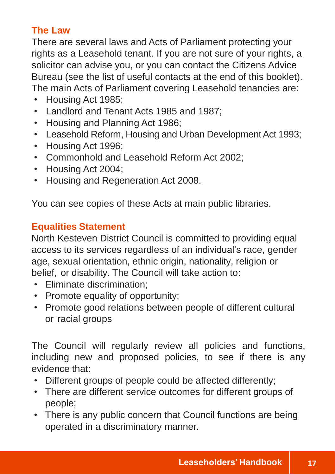## **The Law**

There are several laws and Acts of Parliament protecting your rights as a Leasehold tenant. If you are not sure of your rights, a solicitor can advise you, or you can contact the Citizens Advice Bureau (see the list of useful contacts at the end of this booklet). The main Acts of Parliament covering Leasehold tenancies are:

- Housing Act 1985;
- Landlord and Tenant Acts 1985 and 1987;
- Housing and Planning Act 1986;
- Leasehold Reform, Housing and Urban Development Act 1993;
- Housing Act 1996;
- Commonhold and Leasehold Reform Act 2002;
- Housing Act 2004;
- Housing and Regeneration Act 2008.

You can see copies of these Acts at main public libraries.

## **Equalities Statement**

North Kesteven District Council is committed to providing equal access to its services regardless of an individual's race, gender age, sexual orientation, ethnic origin, nationality, religion or belief, or disability. The Council will take action to:

- Eliminate discrimination;
- Promote equality of opportunity;
- Promote good relations between people of different cultural or racial groups

The Council will regularly review all policies and functions, including new and proposed policies, to see if there is any evidence that:

- Different groups of people could be affected differently;
- There are different service outcomes for different groups of people;
- There is any public concern that Council functions are being operated in a discriminatory manner.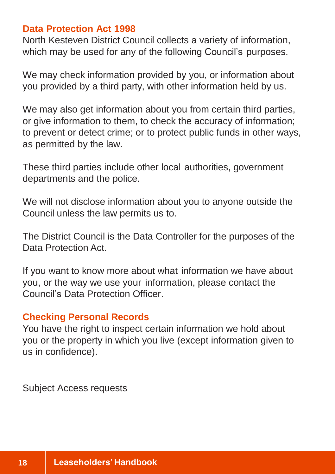#### **Data Protection Act 1998**

North Kesteven District Council collects a variety of information, which may be used for any of the following Council's purposes.

We may check information provided by you, or information about you provided by a third party, with other information held by us.

We may also get information about you from certain third parties, or give information to them, to check the accuracy of information; to prevent or detect crime; or to protect public funds in other ways, as permitted by the law.

These third parties include other local authorities, government departments and the police.

We will not disclose information about you to anyone outside the Council unless the law permits us to.

The District Council is the Data Controller for the purposes of the Data Protection Act.

If you want to know more about what information we have about you, or the way we use your information, please contact the Council's Data Protection Officer.

#### **Checking Personal Records**

You have the right to inspect certain information we hold about you or the property in which you live (except information given to us in confidence).

Subject Access requests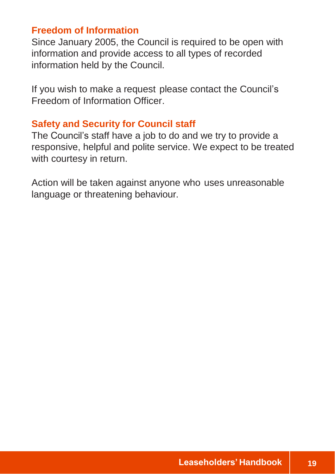## **Freedom of Information**

Since January 2005, the Council is required to be open with information and provide access to all types of recorded information held by the Council.

If you wish to make a request please contact the Council's Freedom of Information Officer.

## **Safety and Security for Council staff**

The Council's staff have a job to do and we try to provide a responsive, helpful and polite service. We expect to be treated with courtesy in return.

Action will be taken against anyone who uses unreasonable language or threatening behaviour.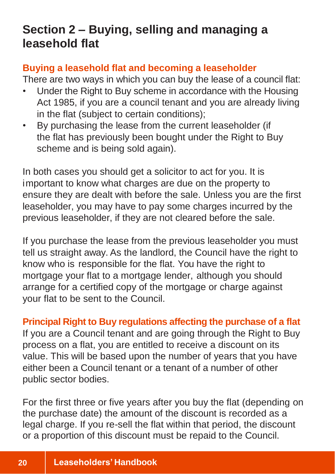## **Section 2 – Buying, selling and managing a leasehold flat**

## **Buying a leasehold flat and becoming a leaseholder**

There are two ways in which you can buy the lease of a council flat:

- Under the Right to Buy scheme in accordance with the Housing Act 1985, if you are a council tenant and you are already living in the flat (subject to certain conditions);
- By purchasing the lease from the current leaseholder (if the flat has previously been bought under the Right to Buy scheme and is being sold again).

In both cases you should get a solicitor to act for you. It is important to know what charges are due on the property to ensure they are dealt with before the sale. Unless you are the first leaseholder, you may have to pay some charges incurred by the previous leaseholder, if they are not cleared before the sale.

If you purchase the lease from the previous leaseholder you must tell us straight away. As the landlord, the Council have the right to know who is responsible for the flat. You have the right to mortgage your flat to a mortgage lender, although you should arrange for a certified copy of the mortgage or charge against your flat to be sent to the Council.

**Principal Right to Buy regulations affecting the purchase of a flat** If you are a Council tenant and are going through the Right to Buy process on a flat, you are entitled to receive a discount on its value. This will be based upon the number of years that you have either been a Council tenant or a tenant of a number of other public sector bodies.

For the first three or five years after you buy the flat (depending on the purchase date) the amount of the discount is recorded as a legal charge. If you re-sell the flat within that period, the discount or a proportion of this discount must be repaid to the Council.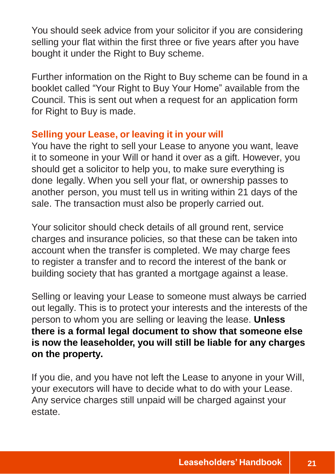You should seek advice from your solicitor if you are considering selling your flat within the first three or five years after you have bought it under the Right to Buy scheme.

Further information on the Right to Buy scheme can be found in a booklet called "Your Right to Buy Your Home" available from the Council. This is sent out when a request for an application form for Right to Buy is made.

#### **Selling your Lease, or leaving it in your will**

You have the right to sell your Lease to anyone you want, leave it to someone in your Will or hand it over as a gift. However, you should get a solicitor to help you, to make sure everything is done legally. When you sell your flat, or ownership passes to another person, you must tell us in writing within 21 days of the sale. The transaction must also be properly carried out.

Your solicitor should check details of all ground rent, service charges and insurance policies, so that these can be taken into account when the transfer is completed. We may charge fees to register a transfer and to record the interest of the bank or building society that has granted a mortgage against a lease.

Selling or leaving your Lease to someone must always be carried out legally. This is to protect your interests and the interests of the person to whom you are selling or leaving the lease. **Unless there is a formal legal document to show that someone else is now the leaseholder, you will still be liable for any charges on the property.**

If you die, and you have not left the Lease to anyone in your Will, your executors will have to decide what to do with your Lease. Any service charges still unpaid will be charged against your estate.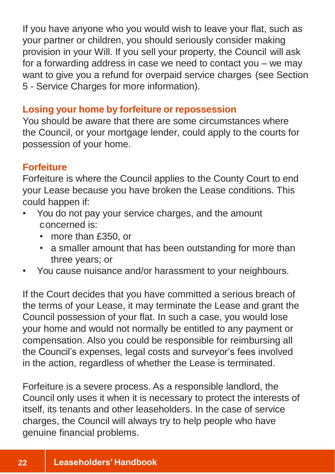If you have anyone who you would wish to leave your flat, such as your partner or children, you should seriously consider making provision in your Will. If you sell your property, the Council will ask for a forwarding address in case we need to contact you – we may want to give you a refund for overpaid service charges (see Section 5 - Service Charges for more information).

#### **Losing your home by forfeiture or repossession**

You should be aware that there are some circumstances where the Council, or your mortgage lender, could apply to the courts for possession of your home.

#### **Forfeiture**

Forfeiture is where the Council applies to the County Court to end your Lease because you have broken the Lease conditions. This could happen if:

- You do not pay your service charges, and the amount concerned is:
	- more than £350, or
	- a smaller amount that has been outstanding for more than three years; or
- You cause nuisance and/or harassment to your neighbours.

If the Court decides that you have committed a serious breach of the terms of your Lease, it may terminate the Lease and grant the Council possession of your flat. In such a case, you would lose your home and would not normally be entitled to any payment or compensation. Also you could be responsible for reimbursing all the Council's expenses, legal costs and surveyor's fees involved in the action, regardless of whether the Lease is terminated.

Forfeiture is a severe process. As a responsible landlord, the Council only uses it when it is necessary to protect the interests of itself, its tenants and other leaseholders. In the case of service charges, the Council will always try to help people who have genuine financial problems.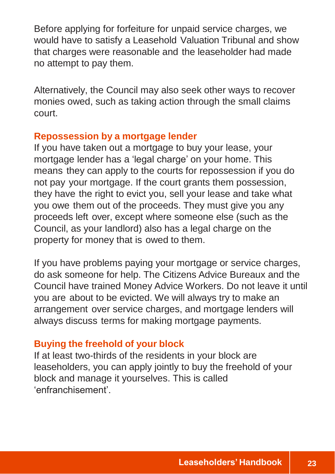Before applying for forfeiture for unpaid service charges, we would have to satisfy a Leasehold Valuation Tribunal and show that charges were reasonable and the leaseholder had made no attempt to pay them.

Alternatively, the Council may also seek other ways to recover monies owed, such as taking action through the small claims court.

#### **Repossession by a mortgage lender**

If you have taken out a mortgage to buy your lease, your mortgage lender has a 'legal charge' on your home. This means they can apply to the courts for repossession if you do not pay your mortgage. If the court grants them possession, they have the right to evict you, sell your lease and take what you owe them out of the proceeds. They must give you any proceeds left over, except where someone else (such as the Council, as your landlord) also has a legal charge on the property for money that is owed to them.

If you have problems paying your mortgage or service charges, do ask someone for help. The Citizens Advice Bureaux and the Council have trained Money Advice Workers. Do not leave it until you are about to be evicted. We will always try to make an arrangement over service charges, and mortgage lenders will always discuss terms for making mortgage payments.

## **Buying the freehold of your block**

If at least two-thirds of the residents in your block are leaseholders, you can apply jointly to buy the freehold of your block and manage it yourselves. This is called 'enfranchisement'.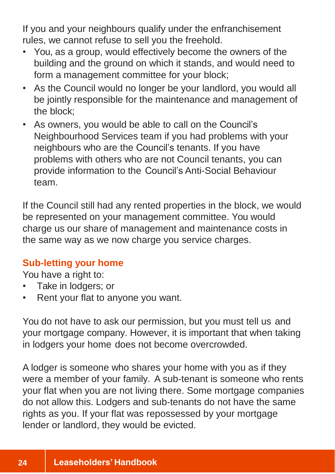If you and your neighbours qualify under the enfranchisement rules, we cannot refuse to sell you the freehold.

- You, as a group, would effectively become the owners of the building and the ground on which it stands, and would need to form a management committee for your block;
- As the Council would no longer be your landlord, you would all be jointly responsible for the maintenance and management of the block;
- As owners, you would be able to call on the Council's Neighbourhood Services team if you had problems with your neighbours who are the Council's tenants. If you have problems with others who are not Council tenants, you can provide information to the Council's Anti-Social Behaviour team.

If the Council still had any rented properties in the block, we would be represented on your management committee. You would charge us our share of management and maintenance costs in the same way as we now charge you service charges.

## **Sub-letting your home**

You have a right to:

- Take in lodgers; or
- Rent your flat to anyone you want.

You do not have to ask our permission, but you must tell us and your mortgage company. However, it is important that when taking in lodgers your home does not become overcrowded.

A lodger is someone who shares your home with you as if they were a member of your family. A sub-tenant is someone who rents your flat when you are not living there. Some mortgage companies do not allow this. Lodgers and sub-tenants do not have the same rights as you. If your flat was repossessed by your mortgage lender or landlord, they would be evicted.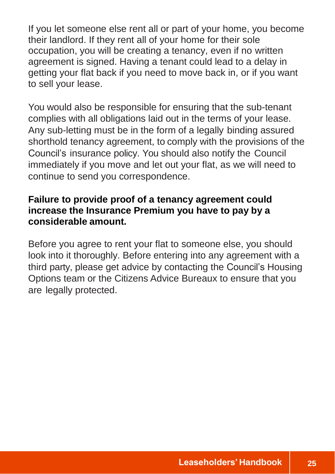If you let someone else rent all or part of your home, you become their landlord. If they rent all of your home for their sole occupation, you will be creating a tenancy, even if no written agreement is signed. Having a tenant could lead to a delay in getting your flat back if you need to move back in, or if you want to sell your lease.

You would also be responsible for ensuring that the sub-tenant complies with all obligations laid out in the terms of your lease. Any sub-letting must be in the form of a legally binding assured shorthold tenancy agreement, to comply with the provisions of the Council's insurance policy. You should also notify the Council immediately if you move and let out your flat, as we will need to continue to send you correspondence.

## **Failure to provide proof of a tenancy agreement could increase the Insurance Premium you have to pay by a considerable amount.**

Before you agree to rent your flat to someone else, you should look into it thoroughly. Before entering into any agreement with a third party, please get advice by contacting the Council's Housing Options team or the Citizens Advice Bureaux to ensure that you are legally protected.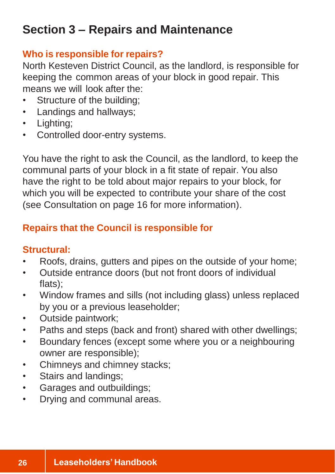## **Section 3 – Repairs and Maintenance**

## **Who is responsible for repairs?**

North Kesteven District Council, as the landlord, is responsible for keeping the common areas of your block in good repair. This means we will look after the:

- Structure of the building;
- Landings and hallways;
- Lighting:
- Controlled door-entry systems.

You have the right to ask the Council, as the landlord, to keep the communal parts of your block in a fit state of repair. You also have the right to be told about major repairs to your block, for which you will be expected to contribute your share of the cost (see Consultation on page 16 for more information).

## **Repairs that the Council is responsible for**

## **Structural:**

- Roofs, drains, gutters and pipes on the outside of your home;
- Outside entrance doors (but not front doors of individual flats);
- Window frames and sills (not including glass) unless replaced by you or a previous leaseholder;
- Outside paintwork;
- Paths and steps (back and front) shared with other dwellings;
- Boundary fences (except some where you or a neighbouring owner are responsible);
- Chimneys and chimney stacks;
- Stairs and landings;
- Garages and outbuildings;
- Drying and communal areas.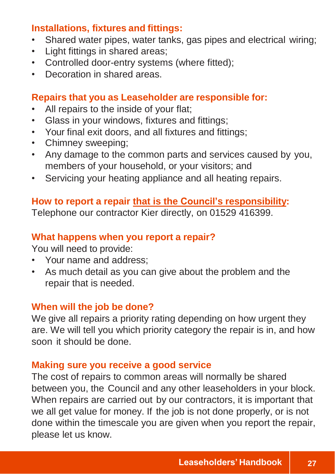## **Installations, fixtures and fittings:**

- Shared water pipes, water tanks, gas pipes and electrical wiring;
- Light fittings in shared areas;
- Controlled door-entry systems (where fitted);
- Decoration in shared areas.

#### **Repairs that you as Leaseholder are responsible for:**

- All repairs to the inside of your flat;
- Glass in your windows, fixtures and fittings;
- Your final exit doors, and all fixtures and fittings;
- Chimney sweeping;
- Any damage to the common parts and services caused by you, members of your household, or your visitors; and
- Servicing your heating appliance and all heating repairs.

#### **How to report a repair that is the Council's responsibility:**

Telephone our contractor Kier directly, on 01529 416399.

#### **What happens when you report a repair?**

You will need to provide:

- Your name and address;
- As much detail as you can give about the problem and the repair that is needed.

#### **When will the job be done?**

We give all repairs a priority rating depending on how urgent they are. We will tell you which priority category the repair is in, and how soon it should be done.

#### **Making sure you receive a good service**

The cost of repairs to common areas will normally be shared between you, the Council and any other leaseholders in your block. When repairs are carried out by our contractors, it is important that we all get value for money. If the job is not done properly, or is not done within the timescale you are given when you report the repair, please let us know.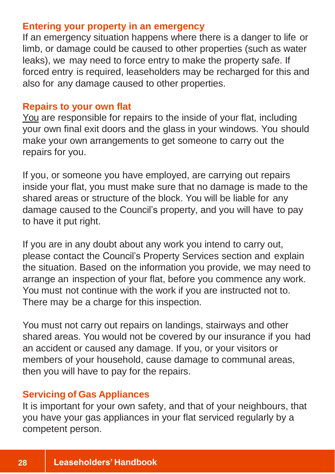#### **Entering your property in an emergency**

If an emergency situation happens where there is a danger to life or limb, or damage could be caused to other properties (such as water leaks), we may need to force entry to make the property safe. If forced entry is required, leaseholders may be recharged for this and also for any damage caused to other properties.

#### **Repairs to your own flat**

You are responsible for repairs to the inside of your flat, including your own final exit doors and the glass in your windows. You should make your own arrangements to get someone to carry out the repairs for you.

If you, or someone you have employed, are carrying out repairs inside your flat, you must make sure that no damage is made to the shared areas or structure of the block. You will be liable for any damage caused to the Council's property, and you will have to pay to have it put right.

If you are in any doubt about any work you intend to carry out, please contact the Council's Property Services section and explain the situation. Based on the information you provide, we may need to arrange an inspection of your flat, before you commence any work. You must not continue with the work if you are instructed not to. There may be a charge for this inspection.

You must not carry out repairs on landings, stairways and other shared areas. You would not be covered by our insurance if you had an accident or caused any damage. If you, or your visitors or members of your household, cause damage to communal areas, then you will have to pay for the repairs.

#### **Servicing of Gas Appliances**

It is important for your own safety, and that of your neighbours, that you have your gas appliances in your flat serviced regularly by a competent person.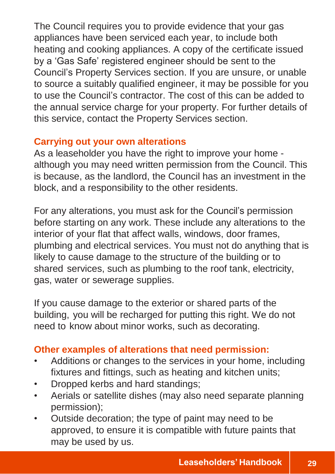The Council requires you to provide evidence that your gas appliances have been serviced each year, to include both heating and cooking appliances. A copy of the certificate issued by a 'Gas Safe' registered engineer should be sent to the Council's Property Services section. If you are unsure, or unable to source a suitably qualified engineer, it may be possible for you to use the Council's contractor. The cost of this can be added to the annual service charge for your property. For further details of this service, contact the Property Services section.

## **Carrying out your own alterations**

As a leaseholder you have the right to improve your home although you may need written permission from the Council. This is because, as the landlord, the Council has an investment in the block, and a responsibility to the other residents.

For any alterations, you must ask for the Council's permission before starting on any work. These include any alterations to the interior of your flat that affect walls, windows, door frames, plumbing and electrical services. You must not do anything that is likely to cause damage to the structure of the building or to shared services, such as plumbing to the roof tank, electricity, gas, water or sewerage supplies.

If you cause damage to the exterior or shared parts of the building, you will be recharged for putting this right. We do not need to know about minor works, such as decorating.

## **Other examples of alterations that need permission:**

- Additions or changes to the services in your home, including fixtures and fittings, such as heating and kitchen units;
- Dropped kerbs and hard standings;
- Aerials or satellite dishes (may also need separate planning permission);
- Outside decoration; the type of paint may need to be approved, to ensure it is compatible with future paints that may be used by us.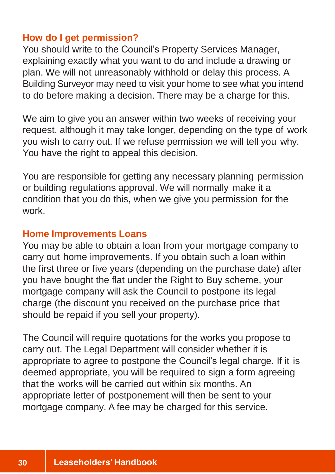#### **How do I get permission?**

You should write to the Council's Property Services Manager, explaining exactly what you want to do and include a drawing or plan. We will not unreasonably withhold or delay this process. A Building Surveyor may need to visit your home to see what you intend to do before making a decision. There may be a charge for this.

We aim to give you an answer within two weeks of receiving your request, although it may take longer, depending on the type of work you wish to carry out. If we refuse permission we will tell you why. You have the right to appeal this decision.

You are responsible for getting any necessary planning permission or building regulations approval. We will normally make it a condition that you do this, when we give you permission for the work.

#### **Home Improvements Loans**

You may be able to obtain a loan from your mortgage company to carry out home improvements. If you obtain such a loan within the first three or five years (depending on the purchase date) after you have bought the flat under the Right to Buy scheme, your mortgage company will ask the Council to postpone its legal charge (the discount you received on the purchase price that should be repaid if you sell your property).

The Council will require quotations for the works you propose to carry out. The Legal Department will consider whether it is appropriate to agree to postpone the Council's legal charge. If it is deemed appropriate, you will be required to sign a form agreeing that the works will be carried out within six months. An appropriate letter of postponement will then be sent to your mortgage company. A fee may be charged for this service.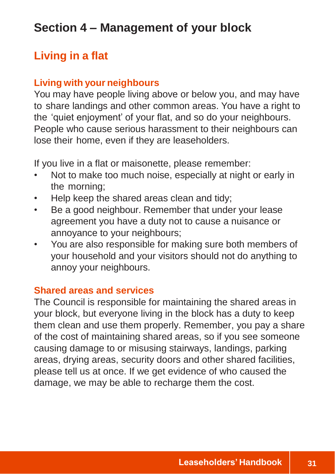## **Section 4 – Management of your block**

## **Living in a flat**

## **Living with your neighbours**

You may have people living above or below you, and may have to share landings and other common areas. You have a right to the 'quiet enjoyment' of your flat, and so do your neighbours. People who cause serious harassment to their neighbours can lose their home, even if they are leaseholders.

If you live in a flat or maisonette, please remember:

- Not to make too much noise, especially at night or early in the morning;
- Help keep the shared areas clean and tidy;
- Be a good neighbour. Remember that under your lease agreement you have a duty not to cause a nuisance or annoyance to your neighbours;
- You are also responsible for making sure both members of your household and your visitors should not do anything to annoy your neighbours.

#### **Shared areas and services**

The Council is responsible for maintaining the shared areas in your block, but everyone living in the block has a duty to keep them clean and use them properly. Remember, you pay a share of the cost of maintaining shared areas, so if you see someone causing damage to or misusing stairways, landings, parking areas, drying areas, security doors and other shared facilities, please tell us at once. If we get evidence of who caused the damage, we may be able to recharge them the cost.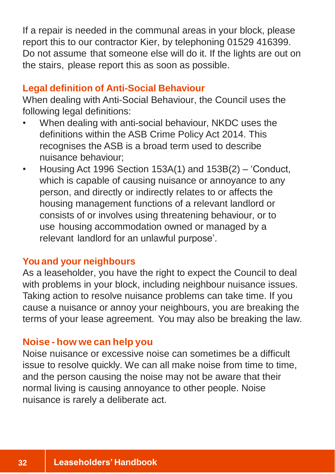If a repair is needed in the communal areas in your block, please report this to our contractor Kier, by telephoning 01529 416399. Do not assume that someone else will do it. If the lights are out on the stairs, please report this as soon as possible.

#### **Legal definition of Anti-Social Behaviour**

When dealing with Anti-Social Behaviour, the Council uses the following legal definitions:

- When dealing with anti-social behaviour, NKDC uses the definitions within the ASB Crime Policy Act 2014. This recognises the ASB is a broad term used to describe nuisance behaviour;
- Housing Act 1996 Section 153A(1) and 153B(2) 'Conduct, which is capable of causing nuisance or annoyance to any person, and directly or indirectly relates to or affects the housing management functions of a relevant landlord or consists of or involves using threatening behaviour, or to use housing accommodation owned or managed by a relevant landlord for an unlawful purpose'.

#### **You and your neighbours**

As a leaseholder, you have the right to expect the Council to deal with problems in your block, including neighbour nuisance issues. Taking action to resolve nuisance problems can take time. If you cause a nuisance or annoy your neighbours, you are breaking the terms of your lease agreement. You may also be breaking the law.

#### **Noise - how we can help you**

Noise nuisance or excessive noise can sometimes be a difficult issue to resolve quickly. We can all make noise from time to time, and the person causing the noise may not be aware that their normal living is causing annoyance to other people. Noise nuisance is rarely a deliberate act.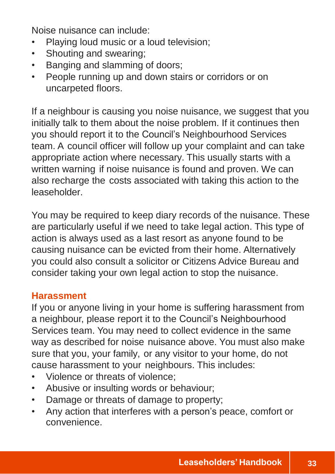Noise nuisance can include:

- Playing loud music or a loud television;
- Shouting and swearing;
- Banging and slamming of doors;
- People running up and down stairs or corridors or on uncarpeted floors.

If a neighbour is causing you noise nuisance, we suggest that you initially talk to them about the noise problem. If it continues then you should report it to the Council's Neighbourhood Services team. A council officer will follow up your complaint and can take appropriate action where necessary. This usually starts with a written warning if noise nuisance is found and proven. We can also recharge the costs associated with taking this action to the leaseholder.

You may be required to keep diary records of the nuisance. These are particularly useful if we need to take legal action. This type of action is always used as a last resort as anyone found to be causing nuisance can be evicted from their home. Alternatively you could also consult a solicitor or Citizens Advice Bureau and consider taking your own legal action to stop the nuisance.

#### **Harassment**

If you or anyone living in your home is suffering harassment from a neighbour, please report it to the Council's Neighbourhood Services team. You may need to collect evidence in the same way as described for noise nuisance above. You must also make sure that you, your family, or any visitor to your home, do not cause harassment to your neighbours. This includes:

- Violence or threats of violence;
- Abusive or insulting words or behaviour;
- Damage or threats of damage to property;
- Any action that interferes with a person's peace, comfort or convenience.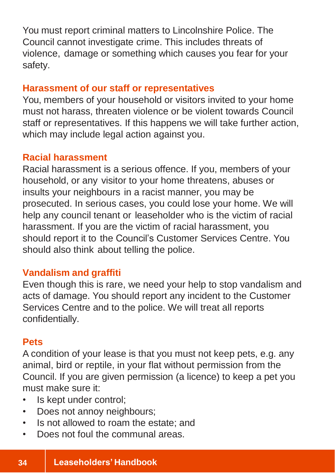You must report criminal matters to Lincolnshire Police. The Council cannot investigate crime. This includes threats of violence, damage or something which causes you fear for your safety.

#### **Harassment of our staff or representatives**

You, members of your household or visitors invited to your home must not harass, threaten violence or be violent towards Council staff or representatives. If this happens we will take further action, which may include legal action against you.

## **Racial harassment**

Racial harassment is a serious offence. If you, members of your household, or any visitor to your home threatens, abuses or insults your neighbours in a racist manner, you may be prosecuted. In serious cases, you could lose your home. We will help any council tenant or leaseholder who is the victim of racial harassment. If you are the victim of racial harassment, you should report it to the Council's Customer Services Centre. You should also think about telling the police.

## **Vandalism and graffiti**

Even though this is rare, we need your help to stop vandalism and acts of damage. You should report any incident to the Customer Services Centre and to the police. We will treat all reports confidentially.

## **Pets**

A condition of your lease is that you must not keep pets, e.g. any animal, bird or reptile, in your flat without permission from the Council. If you are given permission (a licence) to keep a pet you must make sure it:

- Is kept under control;
- Does not annoy neighbours;
- Is not allowed to roam the estate; and
- Does not foul the communal areas.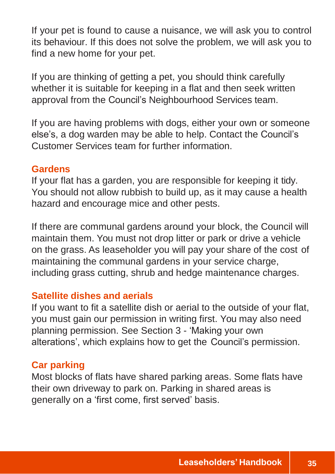If your pet is found to cause a nuisance, we will ask you to control its behaviour. If this does not solve the problem, we will ask you to find a new home for your pet.

If you are thinking of getting a pet, you should think carefully whether it is suitable for keeping in a flat and then seek written approval from the Council's Neighbourhood Services team.

If you are having problems with dogs, either your own or someone else's, a dog warden may be able to help. Contact the Council's Customer Services team for further information.

#### **Gardens**

If your flat has a garden, you are responsible for keeping it tidy. You should not allow rubbish to build up, as it may cause a health hazard and encourage mice and other pests.

If there are communal gardens around your block, the Council will maintain them. You must not drop litter or park or drive a vehicle on the grass. As leaseholder you will pay your share of the cost of maintaining the communal gardens in your service charge, including grass cutting, shrub and hedge maintenance charges.

#### **Satellite dishes and aerials**

If you want to fit a satellite dish or aerial to the outside of your flat, you must gain our permission in writing first. You may also need planning permission. See Section 3 - 'Making your own alterations', which explains how to get the Council's permission.

#### **Car parking**

Most blocks of flats have shared parking areas. Some flats have their own driveway to park on. Parking in shared areas is generally on a 'first come, first served' basis.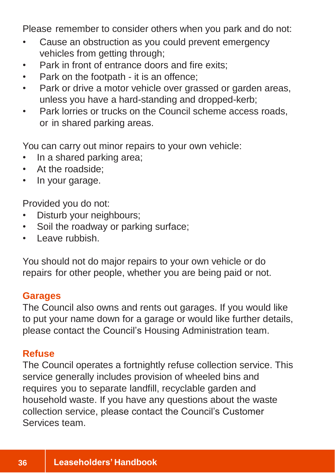Please remember to consider others when you park and do not:

- Cause an obstruction as you could prevent emergency vehicles from getting through;
- Park in front of entrance doors and fire exits;
- Park on the footpath it is an offence;
- Park or drive a motor vehicle over grassed or garden areas, unless you have a hard-standing and dropped-kerb;
- Park lorries or trucks on the Council scheme access roads, or in shared parking areas.

You can carry out minor repairs to your own vehicle:

- In a shared parking area;
- At the roadside;
- In your garage.

Provided you do not:

- Disturb your neighbours;
- Soil the roadway or parking surface;
- Leave rubbish.

You should not do major repairs to your own vehicle or do repairs for other people, whether you are being paid or not.

## **Garages**

The Council also owns and rents out garages. If you would like to put your name down for a garage or would like further details, please contact the Council's Housing Administration team.

## **Refuse**

The Council operates a fortnightly refuse collection service. This service generally includes provision of wheeled bins and requires you to separate landfill, recyclable garden and household waste. If you have any questions about the waste collection service, please contact the Council's Customer Services team.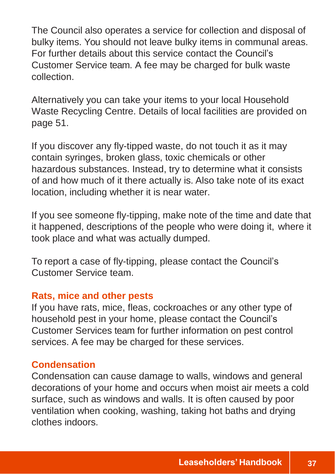The Council also operates a service for collection and disposal of bulky items. You should not leave bulky items in communal areas. For further details about this service contact the Council's Customer Service team. A fee may be charged for bulk waste collection.

Alternatively you can take your items to your local Household Waste Recycling Centre. Details of local facilities are provided on page 51.

If you discover any fly-tipped waste, do not touch it as it may contain syringes, broken glass, toxic chemicals or other hazardous substances. Instead, try to determine what it consists of and how much of it there actually is. Also take note of its exact location, including whether it is near water.

If you see someone fly-tipping, make note of the time and date that it happened, descriptions of the people who were doing it, where it took place and what was actually dumped.

To report a case of fly-tipping, please contact the Council's Customer Service team.

#### **Rats, mice and other pests**

If you have rats, mice, fleas, cockroaches or any other type of household pest in your home, please contact the Council's Customer Services team for further information on pest control services. A fee may be charged for these services.

#### **Condensation**

Condensation can cause damage to walls, windows and general decorations of your home and occurs when moist air meets a cold surface, such as windows and walls. It is often caused by poor ventilation when cooking, washing, taking hot baths and drying clothes indoors.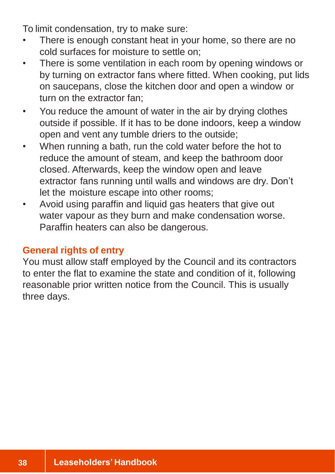To limit condensation, try to make sure:

- There is enough constant heat in your home, so there are no cold surfaces for moisture to settle on;
- There is some ventilation in each room by opening windows or by turning on extractor fans where fitted. When cooking, put lids on saucepans, close the kitchen door and open a window or turn on the extractor fan;
- You reduce the amount of water in the air by drying clothes outside if possible. If it has to be done indoors, keep a window open and vent any tumble driers to the outside;
- When running a bath, run the cold water before the hot to reduce the amount of steam, and keep the bathroom door closed. Afterwards, keep the window open and leave extractor fans running until walls and windows are dry. Don't let the moisture escape into other rooms;
- Avoid using paraffin and liquid gas heaters that give out water vapour as they burn and make condensation worse. Paraffin heaters can also be dangerous.

## **General rights of entry**

You must allow staff employed by the Council and its contractors to enter the flat to examine the state and condition of it, following reasonable prior written notice from the Council. This is usually three days.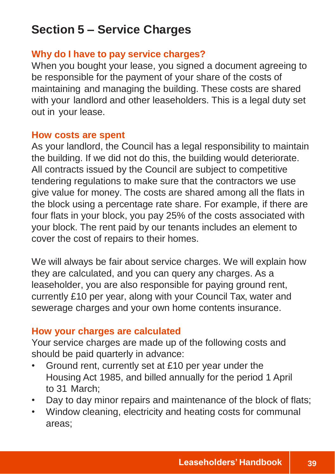## **Section 5 – Service Charges**

## **Why do I have to pay service charges?**

When you bought your lease, you signed a document agreeing to be responsible for the payment of your share of the costs of maintaining and managing the building. These costs are shared with your landlord and other leaseholders. This is a legal duty set out in your lease.

#### **How costs are spent**

As your landlord, the Council has a legal responsibility to maintain the building. If we did not do this, the building would deteriorate. All contracts issued by the Council are subject to competitive tendering regulations to make sure that the contractors we use give value for money. The costs are shared among all the flats in the block using a percentage rate share. For example, if there are four flats in your block, you pay 25% of the costs associated with your block. The rent paid by our tenants includes an element to cover the cost of repairs to their homes.

We will always be fair about service charges. We will explain how they are calculated, and you can query any charges. As a leaseholder, you are also responsible for paying ground rent, currently £10 per year, along with your Council Tax, water and sewerage charges and your own home contents insurance.

#### **How your charges are calculated**

Your service charges are made up of the following costs and should be paid quarterly in advance:

- Ground rent, currently set at £10 per year under the Housing Act 1985, and billed annually for the period 1 April to 31 March;
- Day to day minor repairs and maintenance of the block of flats;
- Window cleaning, electricity and heating costs for communal areas;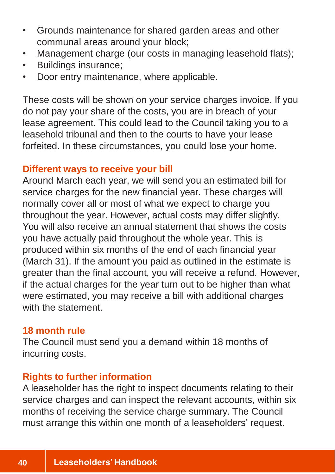- Grounds maintenance for shared garden areas and other communal areas around your block;
- Management charge (our costs in managing leasehold flats);
- Buildings insurance;
- Door entry maintenance, where applicable.

These costs will be shown on your service charges invoice. If you do not pay your share of the costs, you are in breach of your lease agreement. This could lead to the Council taking you to a leasehold tribunal and then to the courts to have your lease forfeited. In these circumstances, you could lose your home.

#### **Different ways to receive your bill**

Around March each year, we will send you an estimated bill for service charges for the new financial year. These charges will normally cover all or most of what we expect to charge you throughout the year. However, actual costs may differ slightly. You will also receive an annual statement that shows the costs you have actually paid throughout the whole year. This is produced within six months of the end of each financial year (March 31). If the amount you paid as outlined in the estimate is greater than the final account, you will receive a refund. However, if the actual charges for the year turn out to be higher than what were estimated, you may receive a bill with additional charges with the statement.

#### **18 month rule**

The Council must send you a demand within 18 months of incurring costs.

#### **Rights to further information**

A leaseholder has the right to inspect documents relating to their service charges and can inspect the relevant accounts, within six months of receiving the service charge summary. The Council must arrange this within one month of a leaseholders' request.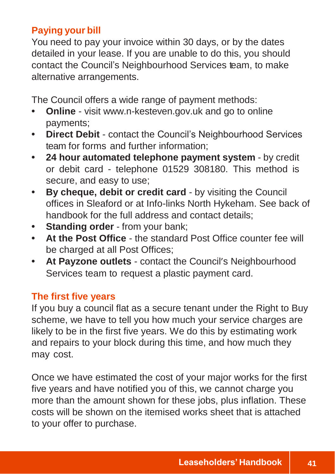## **Paying your bill**

You need to pay your invoice within 30 days, or by the dates detailed in your lease. If you are unable to do this, you should contact the Council's Neighbourhood Services team, to make alternative arrangements.

The Council offers a wide range of payment methods:

- **• Online**  visit [www.n-kesteven.gov.uk](http://www.n-kesteven.gov.uk/) and go to online payments;
- **• Direct Debit** contact the Council's Neighbourhood Services team for forms and further information;
- **• 24 hour automated telephone payment system** by credit or debit card - telephone 01529 308180. This method is secure, and easy to use;
- **• By cheque, debit or credit card** by visiting the Council offices in Sleaford or at Info-links North Hykeham. See back of handbook for the full address and contact details;
- **• Standing order** from your bank;
- **• At the Post Office** the standard Post Office counter fee will be charged at all Post Offices;
- **• At Payzone outlets** contact the Council's Neighbourhood Services team to request a plastic payment card.

## **The first five years**

If you buy a council flat as a secure tenant under the Right to Buy scheme, we have to tell you how much your service charges are likely to be in the first five years. We do this by estimating work and repairs to your block during this time, and how much they may cost.

Once we have estimated the cost of your major works for the first five years and have notified you of this, we cannot charge you more than the amount shown for these jobs, plus inflation. These costs will be shown on the itemised works sheet that is attached to your offer to purchase.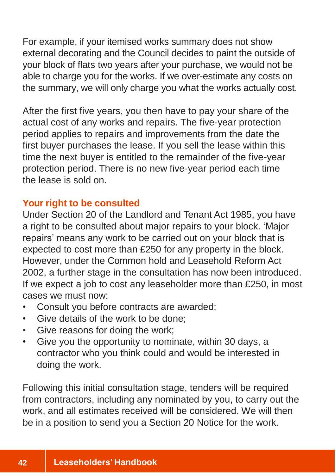For example, if your itemised works summary does not show external decorating and the Council decides to paint the outside of your block of flats two years after your purchase, we would not be able to charge you for the works. If we over-estimate any costs on the summary, we will only charge you what the works actually cost.

After the first five years, you then have to pay your share of the actual cost of any works and repairs. The five-year protection period applies to repairs and improvements from the date the first buyer purchases the lease. If you sell the lease within this time the next buyer is entitled to the remainder of the five-year protection period. There is no new five-year period each time the lease is sold on.

## **Your right to be consulted**

Under Section 20 of the Landlord and Tenant Act 1985, you have a right to be consulted about major repairs to your block. 'Major repairs' means any work to be carried out on your block that is expected to cost more than £250 for any property in the block. However, under the Common hold and Leasehold Reform Act 2002, a further stage in the consultation has now been introduced. If we expect a job to cost any leaseholder more than £250, in most cases we must now:

- Consult you before contracts are awarded;
- Give details of the work to be done;
- Give reasons for doing the work;
- Give you the opportunity to nominate, within 30 days, a contractor who you think could and would be interested in doing the work.

Following this initial consultation stage, tenders will be required from contractors, including any nominated by you, to carry out the work, and all estimates received will be considered. We will then be in a position to send you a Section 20 Notice for the work.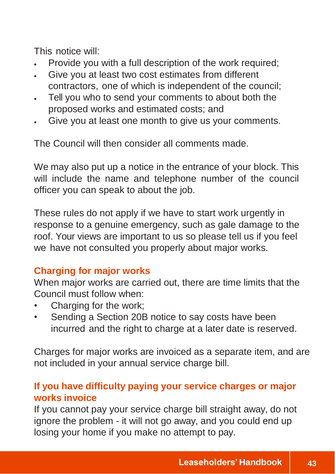This notice will:

- Provide you with a full description of the work required;
- Give you at least two cost estimates from different contractors, one of which is independent of the council;
- Tell you who to send your comments to about both the proposed works and estimated costs; and
- Give you at least one month to give us your comments.

The Council will then consider all comments made.

We may also put up a notice in the entrance of your block. This will include the name and telephone number of the council officer you can speak to about the job.

These rules do not apply if we have to start work urgently in response to a genuine emergency, such as gale damage to the roof. Your views are important to us so please tell us if you feel we have not consulted you properly about major works.

## **Charging for major works**

When major works are carried out, there are time limits that the Council must follow when:

- Charging for the work;
- Sending a Section 20B notice to say costs have been incurred and the right to charge at a later date is reserved.

Charges for major works are invoiced as a separate item, and are not included in your annual service charge bill.

## **If you have difficulty paying your service charges or major works invoice**

If you cannot pay your service charge bill straight away, do not ignore the problem - it will not go away, and you could end up losing your home if you make no attempt to pay.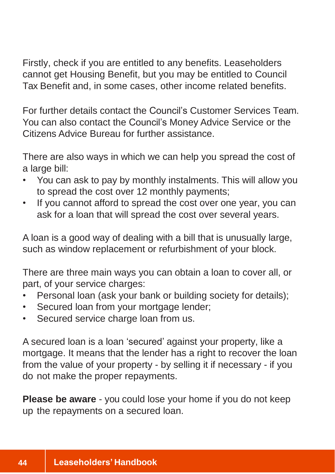Firstly, check if you are entitled to any benefits. Leaseholders cannot get Housing Benefit, but you may be entitled to Council Tax Benefit and, in some cases, other income related benefits.

For further details contact the Council's Customer Services Team. You can also contact the Council's Money Advice Service or the Citizens Advice Bureau for further assistance.

There are also ways in which we can help you spread the cost of a large bill:

- You can ask to pay by monthly instalments. This will allow you to spread the cost over 12 monthly payments;
- If you cannot afford to spread the cost over one year, you can ask for a loan that will spread the cost over several years.

A loan is a good way of dealing with a bill that is unusually large, such as window replacement or refurbishment of your block.

There are three main ways you can obtain a loan to cover all, or part, of your service charges:

- Personal loan (ask your bank or building society for details);
- Secured loan from your mortgage lender;
- Secured service charge loan from us.

A secured loan is a loan 'secured' against your property, like a mortgage. It means that the lender has a right to recover the loan from the value of your property - by selling it if necessary - if you do not make the proper repayments.

**Please be aware** - you could lose your home if you do not keep up the repayments on a secured loan.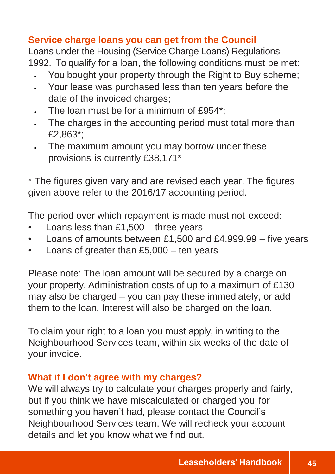## **Service charge loans you can get from the Council**

Loans under the Housing (Service Charge Loans) Regulations 1992. To qualify for a loan, the following conditions must be met:

- You bought your property through the Right to Buy scheme;
- Your lease was purchased less than ten years before the date of the invoiced charges;
- The loan must be for a minimum of £954\*;
- The charges in the accounting period must total more than £2,863\*;
- The maximum amount you may borrow under these provisions is currently £38,171\*

\* The figures given vary and are revised each year. The figures given above refer to the 2016/17 accounting period.

The period over which repayment is made must not exceed:

- Loans less than  $£1,500 -$  three years
- Loans of amounts between £1,500 and £4,999.99 five years
- Loans of greater than  $£5,000 -$  ten years

Please note: The loan amount will be secured by a charge on your property. Administration costs of up to a maximum of £130 may also be charged – you can pay these immediately, or add them to the loan. Interest will also be charged on the loan.

To claim your right to a loan you must apply, in writing to the Neighbourhood Services team, within six weeks of the date of your invoice.

## **What if I don't agree with my charges?**

We will always try to calculate your charges properly and fairly, but if you think we have miscalculated or charged you for something you haven't had, please contact the Council's Neighbourhood Services team. We will recheck your account details and let you know what we find out.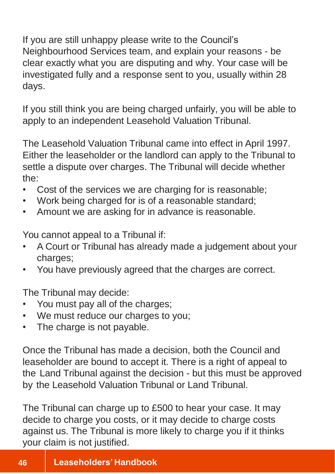If you are still unhappy please write to the Council's Neighbourhood Services team, and explain your reasons - be clear exactly what you are disputing and why. Your case will be investigated fully and a response sent to you, usually within 28 days.

If you still think you are being charged unfairly, you will be able to apply to an independent Leasehold Valuation Tribunal.

The Leasehold Valuation Tribunal came into effect in April 1997. Either the leaseholder or the landlord can apply to the Tribunal to settle a dispute over charges. The Tribunal will decide whether the:

- Cost of the services we are charging for is reasonable;
- Work being charged for is of a reasonable standard;
- Amount we are asking for in advance is reasonable.

You cannot appeal to a Tribunal if:

- A Court or Tribunal has already made a judgement about your charges;
- You have previously agreed that the charges are correct.

The Tribunal may decide:

- You must pay all of the charges;
- We must reduce our charges to you;
- The charge is not payable.

Once the Tribunal has made a decision, both the Council and leaseholder are bound to accept it. There is a right of appeal to the Land Tribunal against the decision - but this must be approved by the Leasehold Valuation Tribunal or Land Tribunal.

The Tribunal can charge up to £500 to hear your case. It may decide to charge you costs, or it may decide to charge costs against us. The Tribunal is more likely to charge you if it thinks your claim is not justified.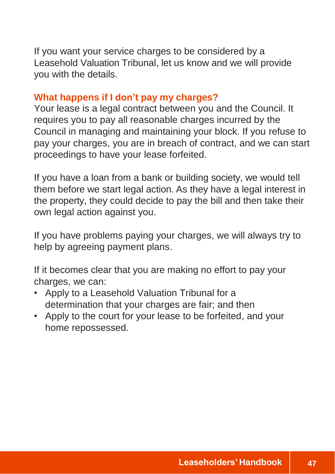If you want your service charges to be considered by a Leasehold Valuation Tribunal, let us know and we will provide you with the details.

## **What happens if I don't pay my charges?**

Your lease is a legal contract between you and the Council. It requires you to pay all reasonable charges incurred by the Council in managing and maintaining your block. If you refuse to pay your charges, you are in breach of contract, and we can start proceedings to have your lease forfeited.

If you have a loan from a bank or building society, we would tell them before we start legal action. As they have a legal interest in the property, they could decide to pay the bill and then take their own legal action against you.

If you have problems paying your charges, we will always try to help by agreeing payment plans.

If it becomes clear that you are making no effort to pay your charges, we can:

- Apply to a Leasehold Valuation Tribunal for a determination that your charges are fair; and then
- Apply to the court for your lease to be forfeited, and your home repossessed.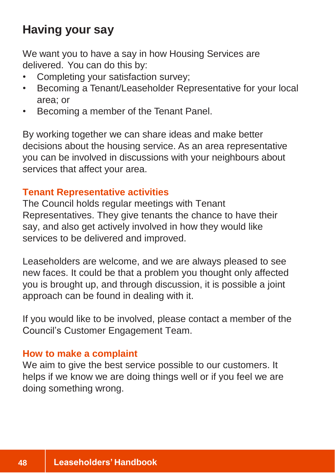## **Having your say**

We want you to have a say in how Housing Services are delivered. You can do this by:

- Completing your satisfaction survey;
- Becoming a Tenant/Leaseholder Representative for your local area; or
- Becoming a member of the Tenant Panel.

By working together we can share ideas and make better decisions about the housing service. As an area representative you can be involved in discussions with your neighbours about services that affect your area.

## **Tenant Representative activities**

The Council holds regular meetings with Tenant Representatives. They give tenants the chance to have their say, and also get actively involved in how they would like services to be delivered and improved.

Leaseholders are welcome, and we are always pleased to see new faces. It could be that a problem you thought only affected you is brought up, and through discussion, it is possible a joint approach can be found in dealing with it.

If you would like to be involved, please contact a member of the Council's Customer Engagement Team.

#### **How to make a complaint**

We aim to give the best service possible to our customers. It helps if we know we are doing things well or if you feel we are doing something wrong.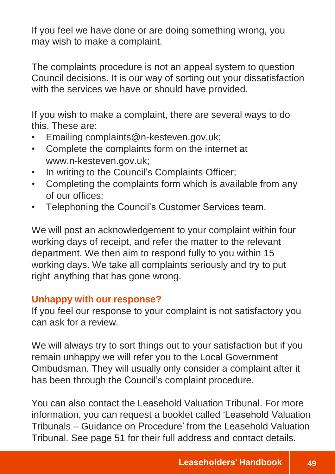If you feel we have done or are doing something wrong, you may wish to make a complaint.

The complaints procedure is not an appeal system to question Council decisions. It is our way of sorting out your dissatisfaction with the services we have or should have provided.

If you wish to make a complaint, there are several ways to do this. These are:

- Emailing complaints@n-kesteven.gov.uk;
- Complete the complaints form on the internet at www.n-kesteven.gov.uk;
- In writing to the Council's Complaints Officer;
- Completing the complaints form which is available from any of our offices;
- Telephoning the Council's Customer Services team.

We will post an acknowledgement to your complaint within four working days of receipt, and refer the matter to the relevant department. We then aim to respond fully to you within 15 working days. We take all complaints seriously and try to put right anything that has gone wrong.

#### **Unhappy with our response?**

If you feel our response to your complaint is not satisfactory you can ask for a review.

We will always try to sort things out to your satisfaction but if you remain unhappy we will refer you to the Local Government Ombudsman. They will usually only consider a complaint after it has been through the Council's complaint procedure.

You can also contact the Leasehold Valuation Tribunal. For more information, you can request a booklet called 'Leasehold Valuation Tribunals – Guidance on Procedure' from the Leasehold Valuation Tribunal. See page 51 for their full address and contact details.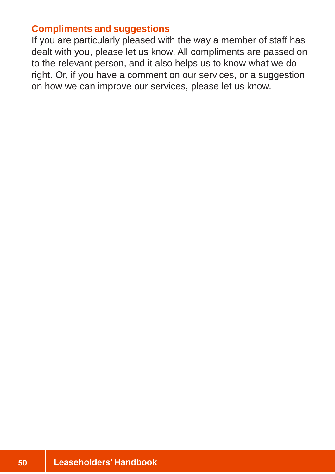#### **Compliments and suggestions**

If you are particularly pleased with the way a member of staff has dealt with you, please let us know. All compliments are passed on to the relevant person, and it also helps us to know what we do right. Or, if you have a comment on our services, or a suggestion on how we can improve our services, please let us know.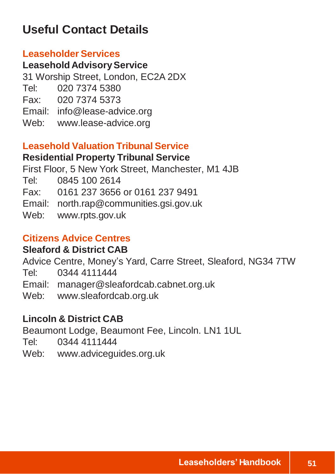## **Useful Contact Details**

#### **Leaseholder Services**

**Leasehold AdvisoryService** 31 Worship Street, London, EC2A 2DX Tel: 020 7374 5380 Fax: 020 7374 5373 Email: [info@lease-advice.org](mailto:info@lease-advice.org) Web: [www.lease-advice.org](http://www.lease-advice.org/)

#### **Leasehold Valuation Tribunal Service**

## **Residential Property Tribunal Service**

First Floor, 5 New York Street, Manchester, M1 4JB

Tel: 0845 100 2614

Fax: 0161 237 3656 or 0161 237 9491

Email: [north.rap@communities.gsi.gov.uk](mailto:north.rap@communities.gsi.gov.uk)

Web: [www.rpts.gov.uk](http://www.rpts.gov.uk/)

## **Citizens Advice Centres**

## **Sleaford & District CAB**

Advice Centre, Money's Yard, Carre Street, Sleaford, NG34 7TW

Tel: 0344 4111444

Email: [manager@sleafordcab.cabnet.org.uk](mailto:manager@sleafordcab.cabnet.org.uk)

Web: [www.sleafordcab.org.uk](http://www.sleafordcab.org.uk/)

## **Lincoln & District CAB**

Beaumont Lodge, Beaumont Fee, Lincoln. LN1 1UL

Tel: 0344 4111444

Web: [www.adviceguides.org.uk](http://www.adviceguides.org.uk/)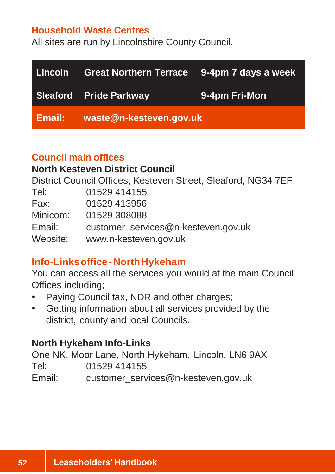#### **Household Waste Centres**

All sites are run by Lincolnshire County Council.

| Lincoln | Great Northern Terrace 9-4pm 7 days a week |               |
|---------|--------------------------------------------|---------------|
|         | Sleaford Pride Parkway                     | 9-4pm Fri-Mon |
| Email:  | waste@n-kesteven.gov.uk                    |               |

#### **Council main offices**

## **North Kesteven District Council**

District Council Offices, Kesteven Street, Sleaford, NG34 7EF

| Tel:     | 01529 414155                        |
|----------|-------------------------------------|
| Fax:     | 01529 413956                        |
| Minicom: | 01529 308088                        |
| Email:   | customer_services@n-kesteven.gov.uk |
| Website: | www.n-kesteven.gov.uk               |

## **Info-Linksoffice-NorthHykeham**

You can access all the services you would at the main Council Offices including;

- Paying Council tax, NDR and other charges;
- Getting information about all services provided by the district, county and local Councils.

## **North Hykeham Info-Links**

One NK, Moor Lane, North Hykeham, Lincoln, LN6 9AX Tel: 01529 414155 Email: [customer\\_services@n-kesteven.gov.uk](mailto:customer_services@n-kesteven.gov.uk)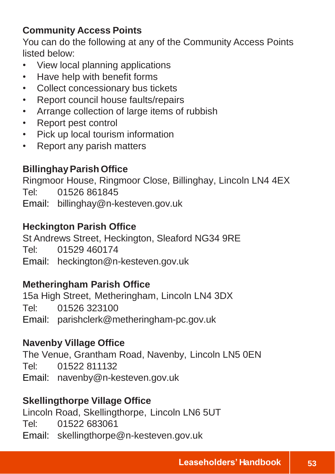## **Community Access Points**

You can do the following at any of the Community Access Points listed below:

- View local planning applications
- Have help with benefit forms
- Collect concessionary bus tickets
- Report council house faults/repairs
- Arrange collection of large items of rubbish
- Report pest control
- Pick up local tourism information
- Report any parish matters

## **BillinghayParish Office**

Ringmoor House, Ringmoor Close, Billinghay, Lincoln LN4 4EX Tel: 01526 861845 Email: [billinghay@n-kesteven.gov.uk](mailto:billinghay@n-kesteven.gov.uk)

## **Heckington Parish Office**

St Andrews Street, Heckington, Sleaford NG34 9RE Tel: 01529 460174 Email: [heckington@n-kesteven.gov.uk](mailto:heckington@n-kesteven.gov.uk)

## **Metheringham Parish Office**

15a High Street, Metheringham, Lincoln LN4 3DX Tel: 01526 323100 Email: [parishclerk@metheringham-pc.gov.uk](mailto:parishclerk@metheringham-pc.gov.uk)

## **Navenby Village Office**

The Venue, Grantham Road, Navenby, Lincoln LN5 0EN Tel: 01522 811132 Email: [navenby@n-kesteven.gov.uk](mailto:navenby@n-kesteven.gov.uk)

## **Skellingthorpe Village Office**

Lincoln Road, Skellingthorpe, Lincoln LN6 5UT Tel: 01522 683061 Email: [skellingthorpe@n-kesteven.gov.uk](mailto:skellingthorpe@n-kesteven.gov.uk)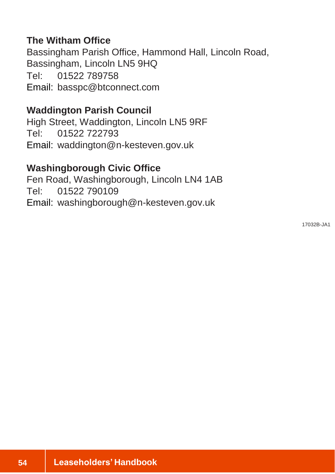#### **The Witham Office**

Bassingham Parish Office, Hammond Hall, Lincoln Road, Bassingham, Lincoln LN5 9HQ Tel: 01522 789758 Email: [basspc@btconnect.com](mailto:basspc@btconnect.com)

#### **Waddington Parish Council**

High Street, Waddington, Lincoln LN5 9RF Tel: 01522 722793 Email: [waddington@n-kesteven.gov.uk](mailto:waddington@n-kesteven.gov.uk)

#### **Washingborough Civic Office**

Fen Road, Washingborough, Lincoln LN4 1AB Tel: 01522 790109 Email: [washingborough@n-kesteven.gov.uk](mailto:washingborough@n-kesteven.gov.uk)

17032B-JA1